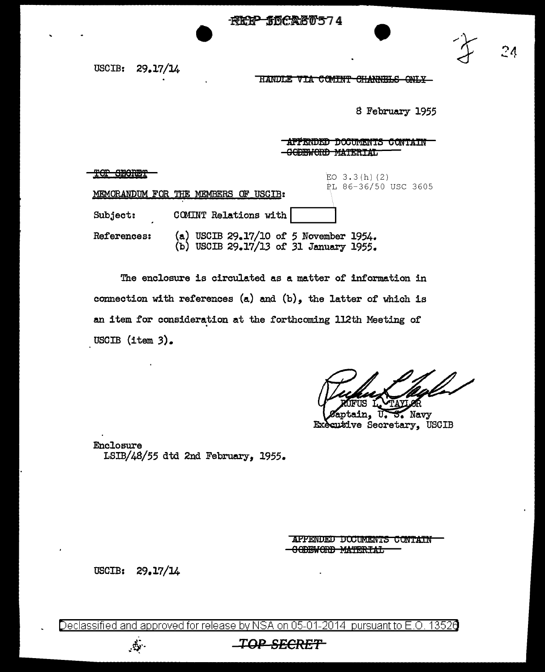

USCIB: 29.17/14

HANDLE VIA COMINT CHANNELS ONLY

8 February 1955

## **APPENDED DOCUMENTS CONTAIN APPENDED DOCUMENTS CONTAI**<br><del>CODEWORD MATERIAL</del>

| mm<br>amannan.<br><u>IN NEMIRIT</u> |                                                                                     | EO $3.3(h)(2)$       |
|-------------------------------------|-------------------------------------------------------------------------------------|----------------------|
|                                     | MEMORANDUM FOR THE MEMBERS OF USCIB:                                                | PL 86-36/50 USC 3605 |
| Subject:                            | COMINT Relations with                                                               |                      |
| References:                         | (a) USCIB 29.17/10 of 5 November 1954.<br>USCIB 29.17/13 of 31 January 1955.<br>(ъ) |                      |

The enclosure is circulated as a matter of information in connection with references  $(a)$  and  $(b)$ , the latter of which is an item for consideration at the forthcoming 112th Meeting of USCIB  $(\text{item } 3)$ .

ptain, U.S. Navy Executive Secretary, USCIB

Enclosure LSIB/48/55 dtd 2nd February, 1955.

> APPENDED DOCUMENTS CONTAIN -0 ODEWORD MATERIAL

USCIB: 29.17/14

 $\mathbb{Z}$  .

Declassified and approved for release by NSA on 05-01-2014 pursuant to E.O. 13520

## **TOP 8ECR£T**